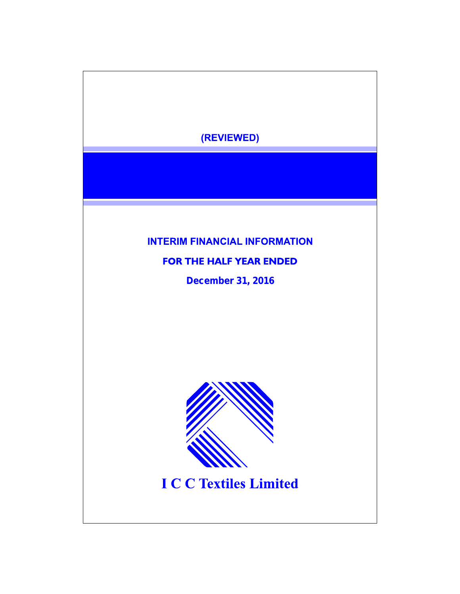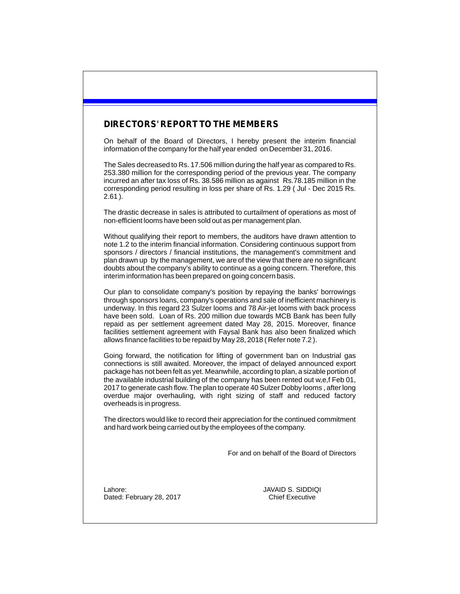## **DIRECTORS' REPORT TO THE MEMBERS**

On behalf of the Board of Directors, I hereby present the interim financial information of the company for the half year ended on December 31, 2016.

The Sales decreased to Rs. 17.506 million during the half year as compared to Rs. 253.380 million for the corresponding period of the previous year. The company incurred an after tax loss of Rs. 38.586 million as against Rs.78.185 million in the corresponding period resulting in loss per share of Rs. 1.29 ( Jul - Dec 2015 Rs. 2.61 ).

The drastic decrease in sales is attributed to curtailment of operations as most of non-efficient looms have been sold out as per management plan.

Without qualifying their report to members, the auditors have drawn attention to note 1.2 to the interim financial information. Considering continuous support from sponsors / directors / financial institutions, the management's commitment and plan drawn up by the management, we are of the view that there are no significant doubts about the company's ability to continue as a going concern. Therefore, this interim information has been prepared on going concern basis.

Our plan to consolidate company's position by repaying the banks' borrowings through sponsors loans, company's operations and sale of inefficient machinery is underway. In this regard 23 Sulzer looms and 78 Air-jet looms with back process have been sold. Loan of Rs. 200 million due towards MCB Bank has been fully repaid as per settlement agreement dated May 28, 2015. Moreover, finance facilities settlement agreement with Faysal Bank has also been finalized which allows finance facilities to be repaid by May 28, 2018 ( Refer note 7.2 ).

Going forward, the notification for lifting of government ban on Industrial gas connections is still awaited. Moreover, the impact of delayed announced export package has not been felt as yet. Meanwhile, according to plan, a sizable portion of the available industrial building of the company has been rented out w,e,f Feb 01, 2017 to generate cash flow. The plan to operate 40 Sulzer Dobby looms , after long overdue major overhauling, with right sizing of staff and reduced factory overheads is in progress.

The directors would like to record their appreciation for the continued commitment and hard work being carried out by the employees of the company.

For and on behalf of the Board of Directors

Lahore: Dated: February 28, 2017 JAVAID S. SIDDIQI Chief Executive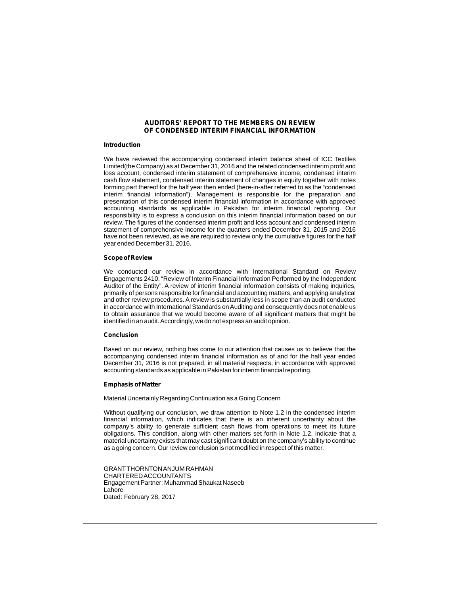#### **AUDITORS' REPORT TO THE MEMBERS ON REVIEW OF CONDENSED INTERIM FINANCIAL INFORMATION**

#### **Introduction**

We have reviewed the accompanying condensed interim balance sheet of ICC Textiles Limited(the Company) as at December 31, 2016 and the related condensed interim profit and loss account, condensed interim statement of comprehensive income, condensed interim cash flow statement, condensed interim statement of changes in equity together with notes forming part thereof for the half year then ended (here-in-after referred to as the "condensed interim financial information"). Management is responsible for the preparation and presentation of this condensed interim financial information in accordance with approved accounting standards as applicable in Pakistan for interim financial reporting. Our responsibility is to express a conclusion on this interim financial information based on our review. The figures of the condensed interim profit and loss account and condensed interim statement of comprehensive income for the quarters ended December 31, 2015 and 2016 have not been reviewed, as we are required to review only the cumulative figures for the half year ended December 31, 2016.

#### **Scope of Review**

We conducted our review in accordance with International Standard on Review Engagements 2410, "Review of Interim Financial Information Performed by the Independent Auditor of the Entity". A review of interim financial information consists of making inquiries, primarily of persons responsible for financial and accounting matters, and applying analytical and other review procedures. Areview is substantially less in scope than an audit conducted in accordance with International Standards on Auditing and consequently does not enable us to obtain assurance that we would become aware of all significant matters that might be identified in an audit. Accordingly, we do not express an audit opinion.

#### **Conclusion**

Based on our review, nothing has come to our attention that causes us to believe that the accompanying condensed interim financial information as of and for the half year ended December 31, 2016 is not prepared, in all material respects, in accordance with approved accounting standards as applicable in Pakistan for interim financial reporting.

#### **Emphasis of Matter**

Material Uncertainly Regarding Continuation as a Going Concern

Without qualifying our conclusion, we draw attention to Note 1.2 in the condensed interim financial information, which indicates that there is an inherent uncertainty about the company's ability to generate sufficient cash flows from operations to meet its future obligations. This condition, along with other matters set forth in Note 1.2, indicate that a material uncertainty exists that may cast significant doubt on the company's ability to continue as a going concern. Our review conclusion is not modified in respect of this matter.

GRANTTHORNTON ANJUM RAHMAN CHARTERED ACCOUNTANTS Engagement Partner: Muhammad Shaukat Naseeb Lahore Dated: February 28, 2017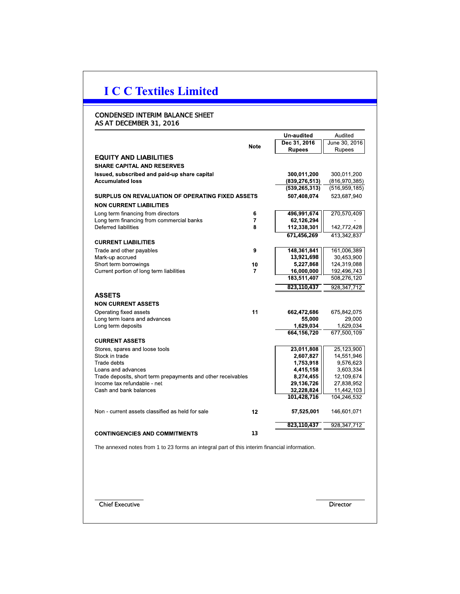## CONDENSED INTERIM BALANCE SHEET AS AT DECEMBER 31, 2016

|                                                                                              |             | Un-audited      | Audited         |
|----------------------------------------------------------------------------------------------|-------------|-----------------|-----------------|
|                                                                                              | <b>Note</b> | Dec 31, 2016    | June 30, 2016   |
|                                                                                              |             | <b>Rupees</b>   | Rupees          |
| <b>EQUITY AND LIABILITIES</b>                                                                |             |                 |                 |
| <b>SHARE CAPITAL AND RESERVES</b>                                                            |             |                 |                 |
| Issued, subscribed and paid-up share capital                                                 |             | 300,011,200     | 300,011,200     |
| <b>Accumulated loss</b>                                                                      |             | (839, 276, 513) | (816, 970, 385) |
|                                                                                              |             | (539, 265, 313) | (516, 959, 185) |
| <b>SURPLUS ON REVALUATION OF OPERATING FIXED ASSETS</b>                                      |             | 507,408,074     | 523,687,940     |
| <b>NON CURRENT LIABILITIES</b>                                                               |             |                 |                 |
| Long term financing from directors                                                           | 6           | 496,991,674     | 270,570,409     |
| Long term financing from commercial banks                                                    | 7           | 62,126,294      |                 |
| Deferred liabilities                                                                         | 8           | 112,338,301     | 142,772,428     |
|                                                                                              |             | 671,456,269     | 413,342,837     |
| <b>CURRENT LIABILITIES</b>                                                                   |             |                 |                 |
| Trade and other payables                                                                     | 9           | 148,361,841     | 161,006,389     |
| Mark-up accrued                                                                              |             | 13,921,698      | 30,453,900      |
| Short term borrowings                                                                        | 10          | 5,227,868       | 124,319,088     |
| Current portion of long term liabilities                                                     | 7           | 16,000,000      | 192,496,743     |
|                                                                                              |             | 183,511,407     | 508,276,120     |
|                                                                                              |             | 823,110,437     | 928, 347, 712   |
| <b>ASSETS</b>                                                                                |             |                 |                 |
| <b>NON CURRENT ASSETS</b>                                                                    |             |                 |                 |
| Operating fixed assets                                                                       | 11          | 662,472,686     | 675,842,075     |
| Long term loans and advances                                                                 |             | 55,000          | 29,000          |
| Long term deposits                                                                           |             | 1,629,034       | 1,629,034       |
|                                                                                              |             | 664,156,720     | 677,500,109     |
| <b>CURRENT ASSETS</b>                                                                        |             |                 |                 |
| Stores, spares and loose tools                                                               |             | 23,011,808      | 25,123,900      |
| Stock in trade                                                                               |             | 2,607,827       | 14,551,946      |
| Trade debts                                                                                  |             | 1,753,918       | 9,576,623       |
| Loans and advances                                                                           |             | 4,415,158       | 3,603,334       |
| Trade deposits, short term prepayments and other receivables                                 |             | 8,274,455       | 12,109,674      |
| Income tax refundable - net                                                                  |             | 29,136,726      | 27,838,952      |
| Cash and bank balances                                                                       |             | 32,228,824      | 11,442,103      |
|                                                                                              |             | 101,428,716     | 104,246,532     |
| Non - current assets classified as held for sale                                             | 12          | 57,525,001      | 146,601,071     |
|                                                                                              |             | 823,110,437     | 928, 347, 712   |
|                                                                                              |             |                 |                 |
|                                                                                              |             |                 |                 |
| <b>CONTINGENCIES AND COMMITMENTS</b>                                                         | 13          |                 |                 |
| The annexed notes from 1 to 23 forms an integral part of this interim financial information. |             |                 |                 |

Chief Executive

Director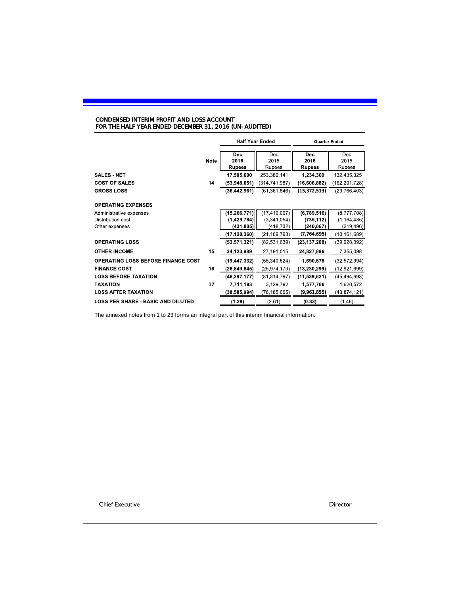#### CONDENSED INTERIM PROFIT AND LOSS ACCOUNT FOR THE HALF YEAR ENDED DECEMBER 31, 2016 (UN-AUDITED)

|                                                                  |      |                                               | <b>Half Year Ended</b>                      |                                         | <b>Quarter Ended</b>                       |
|------------------------------------------------------------------|------|-----------------------------------------------|---------------------------------------------|-----------------------------------------|--------------------------------------------|
|                                                                  | Note | <b>Dec</b><br>2016<br><b>Rupees</b>           | Dec<br>2015<br>Rupees                       | <b>Dec</b><br>2016<br><b>Rupees</b>     | <b>Dec</b><br>2015<br>Rupees               |
| <b>SALES - NET</b><br><b>COST OF SALES</b>                       | 14   | 17,505,690<br>(53,948,651)                    | 253,380,141<br>(314, 741, 987)              | 1,234,369<br>(16,606,882)               | 132,435,325<br>(162, 201, 728)             |
| <b>GROSS LOSS</b>                                                |      | (36,442,961)                                  | (61, 361, 846)                              | (15, 372, 513)                          | (29, 766, 403)                             |
| <b>OPERATING EXPENSES</b>                                        |      |                                               |                                             |                                         |                                            |
| Administrative expenses<br>Distribution cost<br>Other expenses   |      | (15, 266, 771)<br>(1, 429, 784)<br>(431, 805) | (17, 410, 007)<br>(3,341,054)<br>(418, 732) | (6,789,516)<br>(735, 112)<br>(240, 067) | (8,777,708)<br>(1, 164, 485)<br>(219, 496) |
| <b>OPERATING LOSS</b>                                            |      | (17, 128, 360)<br>(53, 571, 321)              | (21, 169, 793)<br>(82, 531, 639)            | (7,764,695)<br>(23, 137, 208)           | (10, 161, 689)<br>(39,928,092)             |
| <b>OTHER INCOME</b>                                              | 15   | 34,123,989                                    | 27,191,015                                  | 24,827,886                              | 7,355,098                                  |
| <b>OPERATING LOSS BEFORE FINANCE COST</b><br><b>FINANCE COST</b> | 16   | (19, 447, 332)<br>(26, 849, 845)              | (55, 340, 624)<br>(25, 974, 173)            | 1,690,678<br>(13, 230, 299)             | (32, 572, 994)<br>(12, 921, 699)           |
| <b>LOSS BEFORE TAXATION</b><br><b>TAXATION</b>                   | 17   | (46, 297, 177)<br>7,711,183                   | (81, 314, 797)<br>3,129,792                 | (11, 539, 621)<br>1,577,766             | (45, 494, 693)<br>1,620,572                |
| <b>LOSS AFTER TAXATION</b>                                       |      | (38,585,994)                                  | (78, 185, 005)                              | (9,961,855)                             | (43,874,121)                               |
| <b>LOSS PER SHARE - BASIC AND DILUTED</b>                        |      | (1.29)                                        | (2.61)                                      | (0.33)                                  | (1.46)                                     |

The annexed notes from 1 to 23 forms an integral part of this interim financial information.

Chief Executive

Director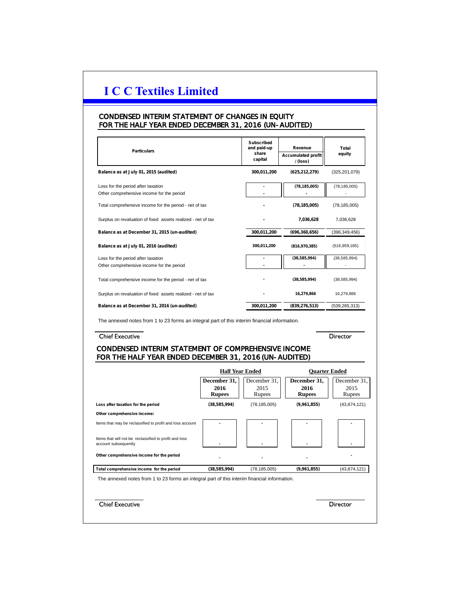## CONDENSED INTERIM STATEMENT OF CHANGES IN EQUITY FOR THE HALF YEAR ENDED DECEMBER 31, 2016 (UN-AUDITED)

| <b>Particulars</b>                                                                                                                                                                                                                                                         |                                 | <b>Subscribed</b><br>and paid-up<br>share<br>capital | Revenue<br><b>Accumulated profit</b><br>/ (loss) | Total<br>equity                          |
|----------------------------------------------------------------------------------------------------------------------------------------------------------------------------------------------------------------------------------------------------------------------------|---------------------------------|------------------------------------------------------|--------------------------------------------------|------------------------------------------|
| Balance as at July 01, 2015 (audited)                                                                                                                                                                                                                                      |                                 | 300,011,200                                          | (625,212,279)                                    | (325, 201, 079)                          |
| Loss for the period after taxation                                                                                                                                                                                                                                         |                                 | $\blacksquare$                                       | (78, 185, 005)                                   | (78, 185, 005)                           |
| Other comprehensive income for the period                                                                                                                                                                                                                                  |                                 |                                                      |                                                  |                                          |
| Total comprehensive income for the period - net of tax                                                                                                                                                                                                                     |                                 |                                                      | (78, 185, 005)                                   | (78, 185, 005)                           |
| Surplus on revaluation of fixed assets realized - net of tax                                                                                                                                                                                                               |                                 |                                                      | 7,036,628                                        | 7,036,628                                |
| Balance as at December 31, 2015 (un-audited)                                                                                                                                                                                                                               |                                 | 300,011,200                                          | (696, 360, 656)                                  | (396, 349, 456)                          |
| Balance as at July 01, 2016 (audited)                                                                                                                                                                                                                                      |                                 | 300,011,200                                          | (816, 970, 385)                                  | (516, 959, 185)                          |
| Loss for the period after taxation                                                                                                                                                                                                                                         |                                 |                                                      | (38, 585, 994)                                   | (38, 585, 994)                           |
| Other comprehensive income for the period                                                                                                                                                                                                                                  |                                 | L.                                                   |                                                  |                                          |
| Total comprehensive income for the period - net of tax                                                                                                                                                                                                                     |                                 |                                                      | (38, 585, 994)                                   | (38, 585, 994)                           |
| Surplus on revaluation of fixed assets realized - net of tax                                                                                                                                                                                                               |                                 |                                                      | 16,279,866                                       | 16,279,866                               |
|                                                                                                                                                                                                                                                                            |                                 |                                                      |                                                  |                                          |
| The annexed notes from 1 to 23 forms an integral part of this interim financial information.                                                                                                                                                                               |                                 | 300,011,200                                          | (839, 276, 513)                                  | (539, 265, 313)                          |
| Balance as at December 31, 2016 (un-audited)<br><b>Chief Executive</b><br>CONDENSED INTERIM STATEMENT OF COMPREHENSIVE INCOME                                                                                                                                              |                                 |                                                      |                                                  | Director                                 |
|                                                                                                                                                                                                                                                                            |                                 |                                                      |                                                  |                                          |
|                                                                                                                                                                                                                                                                            |                                 | <b>Half Year Ended</b>                               |                                                  | <b>Quarter Ended</b>                     |
|                                                                                                                                                                                                                                                                            | December 31,<br>2016            | December 31,<br>2015                                 | December 31,<br>2016                             | 2015                                     |
|                                                                                                                                                                                                                                                                            | <b>Rupees</b><br>(38, 585, 994) | Rupees<br>(78, 185, 005)                             | <b>Rupees</b><br>(9,961,855)                     | December 31,<br>Rupees<br>(43, 874, 121) |
|                                                                                                                                                                                                                                                                            |                                 |                                                      |                                                  |                                          |
|                                                                                                                                                                                                                                                                            |                                 |                                                      |                                                  |                                          |
| FOR THE HALF YEAR ENDED DECEMBER 31, 2016 (UN-AUDITED)<br>Loss after taxation for the period<br>Other comprehensive income:<br>Items that may be reclassified to profit and loss account<br>Items that will not be reclassified to profit and loss<br>account subsequently |                                 |                                                      |                                                  |                                          |
| Other comprehensive income for the period                                                                                                                                                                                                                                  |                                 |                                                      |                                                  |                                          |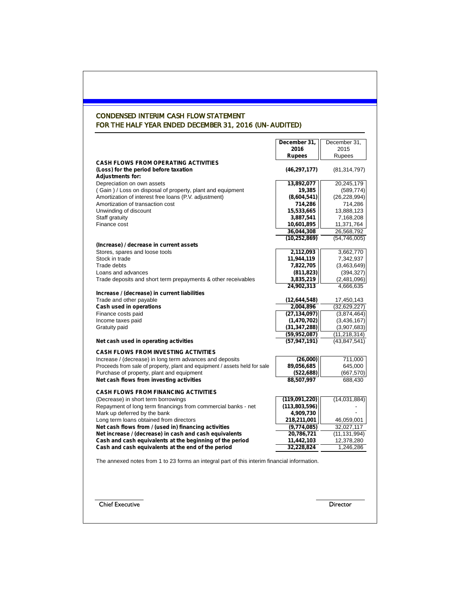## CONDENSED INTERIM CASH FLOW STATEMENT FOR THE HALF YEAR ENDED DECEMBER 31, 2016 (UN-AUDITED)

|                                                                                                                 | December 31,   | December 31,    |
|-----------------------------------------------------------------------------------------------------------------|----------------|-----------------|
|                                                                                                                 | 2016           | 2015            |
|                                                                                                                 | <b>Rupees</b>  | Rupees          |
| <b>CASH FLOWS FROM OPERATING ACTIVITIES</b><br>(Loss) for the period before taxation<br><b>Adjustments for:</b> | (46, 297, 177) | (81, 314, 797)  |
| Depreciation on own assets                                                                                      | 13,892,077     | 20,245,179      |
| (Gain) / Loss on disposal of property, plant and equipment                                                      | 19,385         | (589, 774)      |
| Amortization of interest free loans (P.V. adjustment)                                                           | (8,604,541)    | (26, 228, 994)  |
| Amortization of transaction cost                                                                                | 714,286        | 714,286         |
| Unwinding of discount                                                                                           | 15,533,665     | 13,888,123      |
| Staff gratuity                                                                                                  | 3,887,541      | 7,168,208       |
| Finance cost                                                                                                    | 10,601,895     | 11,371,764      |
|                                                                                                                 | 36,044,308     | 26,568,792      |
|                                                                                                                 | (10, 252, 869) | (54, 746, 005)  |
| (Increase) / decrease in current assets                                                                         |                |                 |
| Stores, spares and loose tools                                                                                  | 2,112,093      | 3,662,770       |
| Stock in trade                                                                                                  | 11,944,119     | 7,342,937       |
| Trade debts                                                                                                     | 7,822,705      | (3,463,649)     |
| Loans and advances                                                                                              | (811, 823)     | (394, 327)      |
| Trade deposits and short term prepayments & other receivables                                                   | 3,835,219      | (2,481,096)     |
|                                                                                                                 | 24,902,313     | 4,666,635       |
| Increase / (decrease) in current liabilities                                                                    |                |                 |
| Trade and other payable                                                                                         | (12,644,548)   | 17,450,143      |
| Cash used in operations                                                                                         | 2,004,896      | (32, 629, 227)  |
| Finance costs paid                                                                                              | (27, 134, 097) | (3,874,464)     |
| Income taxes paid                                                                                               | (1,470,702)    | (3,436,167)     |
| Gratuity paid                                                                                                   | (31, 347, 288) | (3,907,683)     |
|                                                                                                                 | (59,952,087)   | (11, 218, 314)  |
| Net cash used in operating activities                                                                           | (57, 947, 191) | (43, 847, 541)  |
| <b>CASH FLOWS FROM INVESTING ACTIVITIES</b>                                                                     |                |                 |
| Increase / (decrease) in long term advances and deposits                                                        | (26,000)       | 711,000         |
| Proceeds from sale of property, plant and equipment / assets held for sale                                      | 89,056,685     | 645,000         |
| Purchase of property, plant and equipment                                                                       | (522, 688)     | (667, 570)      |
| Net cash flows from investing activities                                                                        | 88,507,997     | 688,430         |
|                                                                                                                 |                |                 |
| <b>CASH FLOWS FROM FINANCING ACTIVITIES</b>                                                                     |                |                 |
| (Decrease) in short term borrowings                                                                             | (119,091,220)  | (14,031,884)    |
| Repayment of long term financings from commercial banks - net                                                   | (113,803,596)  |                 |
| Mark up deferred by the bank                                                                                    | 4,909,730      |                 |
| Long term loans obtained from directors                                                                         | 218,211,001    | 46,059,001      |
| Net cash flows from / (used in) financing activities                                                            | (9,774,085)    | 32,027,117      |
| Net increase / (decrease) in cash and cash equivalents                                                          | 20,786,721     | (11, 131, 994)  |
| Cash and cash equivalents at the beginning of the period                                                        | 11,442,103     | 12,378,280      |
| Cash and cash equivalents at the end of the period                                                              | 32,228,824     | 1,246,286       |
| The annexed notes from 1 to 23 forms an integral part of this interim financial information.                    |                |                 |
| <b>Chief Executive</b>                                                                                          |                | <b>Director</b> |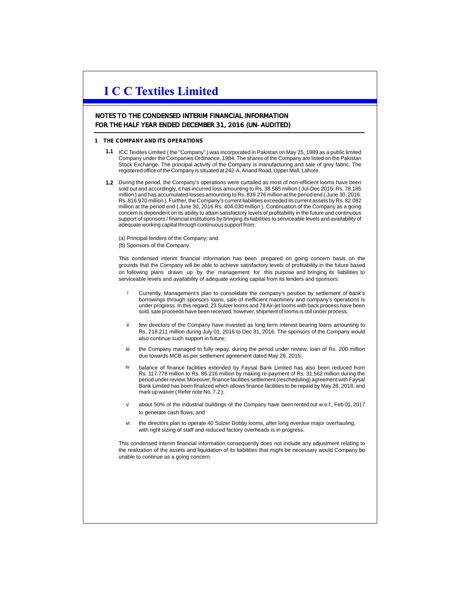### NOTES TO THE CONDENSED INTERIM FINANCIAL INFORMATION FOR THE HALF YEAR ENDED DECEMBER 31, 2016 (UN-AUDITED)

#### **1 THE COMPANY AND ITS OPERATIONS**

- **1.1** ICC Textiles Limited ( the "Company" ) was incorporated in Pakistan on May 25, 1989 as a public limited Company under the Companies Ordinance, 1984. The shares of the Company are listed on the Pakistan Stock Exchange. The principal activity of the Company is manufacturing and sale of grey fabric. The registered office of the Company is situated at 242-A, Anand Road, Upper Mall, Lahore.
- **1.2** During the period, the Company's operations were curtailed as most of non-efficient looms have been sold out and accordingly, it has incurred loss amounting to Rs. 38.585 million ( Jul-Dec 2015: Rs. 78.185 million ) and has accumulated losses amounting to Rs. 839.276 million at the period end ( June 30, 2016: Rs. 816.970 million ). Further, the Company's current liabilities exceeded its current assets by Rs. 82.082 million at the period end ( June 30, 2016 Rs. 404.030 million ). Continuation of the Company as a going concern is dependent on its ability to attain satisfactory levels of profitability in the future and continuous support of sponsors / financial institutions by bringing its liabilities to serviceable levels and availability of adequate working capital through continuous support from:

(a) Principal lenders of the Company; and (b) Sponsors of the Company.

This condensed interim financial information has been prepared on going concern basis on the grounds that the Company will be able to achieve satisfactory levels of profitability in the future based on following plans drawn up by the management for this purpose and bringing its liabilities to serviceable levels and availability of adequate working capital from its lenders and sponsors:

- Currently, Management's plan to consolidate the company's position by settlement of bank's borrowings through sponsors loans, sale of inefficient machinery and company's operations is under progress. In this regard, 23 Sulzer looms and 78 Air-jet looms with back process have been sold, sale proceeds have been received, however, shipment of looms is still under process, i
- ii few directors of the Company have invested as long term interest bearing loans amounting to Rs. 218.211 million during July 01, 2016 to Dec 31, 2016. The sponsors of the Company would also continue such support in future;
- iii the Company managed to fully repay, during the period under review, loan of Rs. 200 million due towards MCB as per settlement agreement dated May 28, 2015;
- iv balance of finance facilities extended by Faysal Bank Limited has also been reduced from Rs. 117.778 million to Rs. 86.216 million by making re-payment of Rs. 31.562 million during the period under review. Moreover, finance facilities settlement (rescheduling) agreement with Faysal Bank Limited has been finalized which allows finance facilities to be repaid by May 28, 2018, and mark up waiver ( Refer note No. 7.2 );
- v about 50% of the industrial buildings of the Company have been rented out w.e.f., Feb 01, 2017 to generate cash flows; and
- vi the directors plan to operate 40 Sulzer Dobby looms, after long overdue major overhauling, with right sizing of staff and reduced factory overheads is in progress.

This condensed interim financial information consequently does not include any adjustment relating to the realization of the assets and liquidation of its liabilities that might be necessary would Company be unable to continue as a going concern.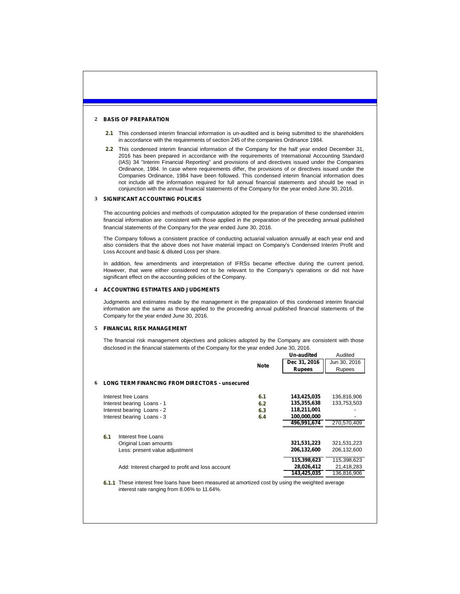#### **2 BASIS OF PREPARATION**

- **2.1** This condensed interim financial information is un-audited and is being submitted to the shareholders in accordance with the requirements of section 245 of the companies Ordinance 1984.
- **2.2** This condensed interim financial information of the Company for the half year ended December 31, 2016 has been prepared in accordance with the requirements of International Accounting Standard (IAS) 34 "Interim Financial Reporting" and provisions of and directives issued under the Companies Ordinance, 1984. In case where requirements differ, the provisions of or directives issued under the Companies Ordinance, 1984 have been followed. This condensed interim financial information does not include all the information required for full annual financial statements and should be read in conjunction with the annual financial statements of the Company for the year ended June 30, 2016.

#### **3 SIGNIFICANT ACCOUNTING POLICIES**

The accounting policies and methods of computation adopted for the preparation of these condensed interim financial information are consistent with those applied in the preparation of the preceding annual published financial statements of the Company for the year ended June 30, 2016.

The Company follows a consistent practice of conducting actuarial valuation annually at each year end and also considers that the above does not have material impact on Company's Condensed Interim Profit and Loss Account and basic & diluted Loss per share.

In addition, few amendments and interpretation of IFRSs became effective during the current period, However, that were either considered not to be relevant to the Company's operations or did not have significant effect on the accounting policies of the Company.

#### **4 ACCOUNTING ESTIMATES AND JUDGMENTS**

Judgments and estimates made by the management in the preparation of this condensed interim financial information are the same as those applied to the proceeding annual published financial statements of the Company for the year ended June 30, 2016.

#### **5 FINANCIAL RISK MANAGEMENT**

The financial risk management objectives and policies adopted by the Company are consistent with those disclosed in the financial statements of the Company for the year ended June 30, 2016.

|   |       |                                                                                                                                             |             | Un-audited    | Audited      |
|---|-------|---------------------------------------------------------------------------------------------------------------------------------------------|-------------|---------------|--------------|
|   |       |                                                                                                                                             | <b>Note</b> | Dec 31, 2016  | Jun 30, 2016 |
|   |       |                                                                                                                                             |             | <b>Rupees</b> | Rupees       |
| 6 |       | <b>LONG TERM FINANCING FROM DIRECTORS - unsecured</b>                                                                                       |             |               |              |
|   |       |                                                                                                                                             |             |               |              |
|   |       | Interest free Loans                                                                                                                         | 6.1         | 143,425,035   | 136,816,906  |
|   |       | Interest bearing Loans - 1                                                                                                                  | 6.2         | 135,355,638   | 133,753,503  |
|   |       | Interest bearing Loans - 2                                                                                                                  | 6.3         | 118,211,001   |              |
|   |       | Interest bearing Loans - 3                                                                                                                  | 6.4         | 100,000,000   |              |
|   |       |                                                                                                                                             |             | 496,991,674   | 270,570,409  |
|   |       |                                                                                                                                             |             |               |              |
|   | 6.1   | Interest free Loans                                                                                                                         |             |               |              |
|   |       | Original Loan amounts                                                                                                                       |             | 321,531,223   | 321,531,223  |
|   |       | Less: present value adjustment                                                                                                              |             | 206,132,600   | 206,132,600  |
|   |       |                                                                                                                                             |             | 115,398,623   | 115,398,623  |
|   |       | Add: Interest charged to profit and loss account                                                                                            |             | 28,026,412    | 21,418,283   |
|   |       |                                                                                                                                             |             | 143,425,035   | 136,816,906  |
|   | 6.1.1 | These interest free loans have been measured at amortized cost by using the weighted average<br>interest rate ranging from 8.06% to 11.64%. |             |               |              |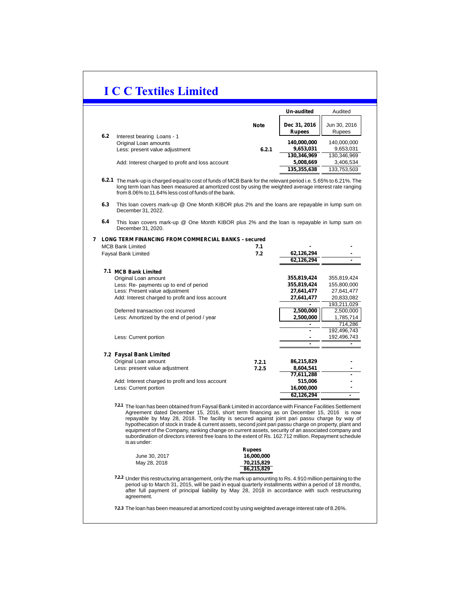|     |                                                                                                                                                                                                                                                                                                                                                                                                                                                                                                                     |             | Un-audited                | Audited                   |
|-----|---------------------------------------------------------------------------------------------------------------------------------------------------------------------------------------------------------------------------------------------------------------------------------------------------------------------------------------------------------------------------------------------------------------------------------------------------------------------------------------------------------------------|-------------|---------------------------|---------------------------|
|     |                                                                                                                                                                                                                                                                                                                                                                                                                                                                                                                     | <b>Note</b> | Dec 31, 2016              | Jun 30, 2016              |
|     |                                                                                                                                                                                                                                                                                                                                                                                                                                                                                                                     |             | <b>Rupees</b>             | Rupees                    |
| 6.2 | Interest bearing Loans - 1                                                                                                                                                                                                                                                                                                                                                                                                                                                                                          |             |                           |                           |
|     | Original Loan amounts                                                                                                                                                                                                                                                                                                                                                                                                                                                                                               |             | 140,000,000               | 140,000,000               |
|     | Less: present value adjustment                                                                                                                                                                                                                                                                                                                                                                                                                                                                                      | 6.2.1       | 9,653,031                 | 9,653,031                 |
|     |                                                                                                                                                                                                                                                                                                                                                                                                                                                                                                                     |             | 130,346,969               | 130,346,969               |
|     | Add: Interest charged to profit and loss account                                                                                                                                                                                                                                                                                                                                                                                                                                                                    |             | 5,008,669                 | 3,406,534                 |
|     |                                                                                                                                                                                                                                                                                                                                                                                                                                                                                                                     |             | 135,355,638               | 133,753,503               |
|     | 6.2.1 The mark-up is charged equal to cost of funds of MCB Bank for the relevant period i.e. 5.65% to 6.21%. The<br>long term loan has been measured at amortized cost by using the weighted average interest rate ranging<br>from 8.06% to 11.64% less cost of funds of the bank.                                                                                                                                                                                                                                  |             |                           |                           |
| 6.3 | This loan covers mark-up @ One Month KIBOR plus 2% and the loans are repayable in lump sum on<br>December 31, 2022.                                                                                                                                                                                                                                                                                                                                                                                                 |             |                           |                           |
| 6.4 | This loan covers mark-up @ One Month KIBOR plus 2% and the loan is repayable in lump sum on<br>December 31, 2020.                                                                                                                                                                                                                                                                                                                                                                                                   |             |                           |                           |
|     | 7 LONG TERM FINANCING FROM COMMERCIAL BANKS - secured                                                                                                                                                                                                                                                                                                                                                                                                                                                               |             |                           |                           |
|     | <b>MCB Bank Limited</b>                                                                                                                                                                                                                                                                                                                                                                                                                                                                                             | 7.1         |                           |                           |
|     | <b>Faysal Bank Limited</b>                                                                                                                                                                                                                                                                                                                                                                                                                                                                                          | 7.2         | 62,126,294                |                           |
|     |                                                                                                                                                                                                                                                                                                                                                                                                                                                                                                                     |             | 62,126,294                |                           |
|     |                                                                                                                                                                                                                                                                                                                                                                                                                                                                                                                     |             |                           |                           |
|     | 7.1 MCB Bank Limited                                                                                                                                                                                                                                                                                                                                                                                                                                                                                                |             |                           |                           |
|     | Original Loan amount                                                                                                                                                                                                                                                                                                                                                                                                                                                                                                |             | 355,819,424               | 355,819,424               |
|     | Less: Re- payments up to end of period<br>Less: Present value adjustment                                                                                                                                                                                                                                                                                                                                                                                                                                            |             | 355,819,424<br>27,641,477 | 155,800,000<br>27,641,477 |
|     | Add: Interest charged to profit and loss account                                                                                                                                                                                                                                                                                                                                                                                                                                                                    |             | 27,641,477                | 20,833,082                |
|     |                                                                                                                                                                                                                                                                                                                                                                                                                                                                                                                     |             |                           | 193,211,029               |
|     | Deferred transaction cost incurred                                                                                                                                                                                                                                                                                                                                                                                                                                                                                  |             | 2,500,000                 | 2,500,000                 |
|     | Less: Amortized by the end of period / year                                                                                                                                                                                                                                                                                                                                                                                                                                                                         |             | 2,500,000                 | 1,785,714                 |
|     |                                                                                                                                                                                                                                                                                                                                                                                                                                                                                                                     |             |                           | 714,286                   |
|     |                                                                                                                                                                                                                                                                                                                                                                                                                                                                                                                     |             |                           | 192,496,743               |
|     | Less: Current portion                                                                                                                                                                                                                                                                                                                                                                                                                                                                                               |             |                           | 192,496,743               |
|     |                                                                                                                                                                                                                                                                                                                                                                                                                                                                                                                     |             |                           |                           |
|     | 7.2 Faysal Bank Limited                                                                                                                                                                                                                                                                                                                                                                                                                                                                                             |             |                           |                           |
|     | Original Loan amount                                                                                                                                                                                                                                                                                                                                                                                                                                                                                                | 7.2.1       | 86,215,829                |                           |
|     | Less: present value adjustment                                                                                                                                                                                                                                                                                                                                                                                                                                                                                      | 7.2.5       | 8,604,541                 |                           |
|     |                                                                                                                                                                                                                                                                                                                                                                                                                                                                                                                     |             | 77,611,288                |                           |
|     | Add: Interest charged to profit and loss account                                                                                                                                                                                                                                                                                                                                                                                                                                                                    |             | 515,006                   |                           |
|     | Less: Current portion                                                                                                                                                                                                                                                                                                                                                                                                                                                                                               |             | 16,000,000                |                           |
|     |                                                                                                                                                                                                                                                                                                                                                                                                                                                                                                                     |             | 62,126,294                | $\blacksquare$            |
|     |                                                                                                                                                                                                                                                                                                                                                                                                                                                                                                                     |             |                           |                           |
|     | 7.2.1 The loan has been obtained from Faysal Bank Limited in accordance with Finance Facilities Settlement<br>Agreement dated December 15, 2016, short term financing as on December 15, 2016 is now<br>repayable by May 28, 2018. The facility is secured against joint pari passu charge by way of<br>hypothecation of stock in trade & current assets, second joint pari passu charge on property, plant and<br>equinment of the Company ranking change on current assets, security of an associated company and |             |                           |                           |

equipment of the Company, ranking change on current assets, security of an associated company and subordination of directors interest free loans to the extent of Rs. 162.712 million. Repayment schedule is as under:

| June 30, 2017 |
|---------------|
| May 28, 2018  |



7.2.2 Under this restructuring arrangement, only the mark up amounting to Rs. 4.910 million pertaining to the period up to March 31, 2015, will be paid in equal quarterly installments within a period of 18 months,<br>after full payment of principal liability by May 28, 2018 in accordance with such restructuring agreement.

7.2.3 The loan has been measured at amortized cost by using weighted average interest rate of 8.26%.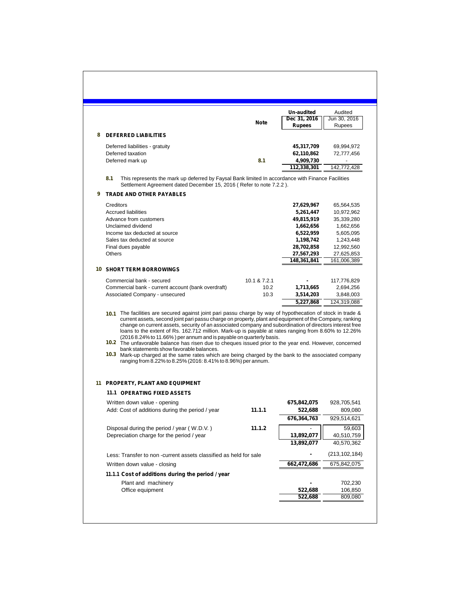|   |                                                                                                                                                                                                                                                                                                                                                                                                                                                                                                                                                                                                                                                                                                                                   |              | Un-audited                    | Audited                  |
|---|-----------------------------------------------------------------------------------------------------------------------------------------------------------------------------------------------------------------------------------------------------------------------------------------------------------------------------------------------------------------------------------------------------------------------------------------------------------------------------------------------------------------------------------------------------------------------------------------------------------------------------------------------------------------------------------------------------------------------------------|--------------|-------------------------------|--------------------------|
|   |                                                                                                                                                                                                                                                                                                                                                                                                                                                                                                                                                                                                                                                                                                                                   | Note         | Dec 31, 2016<br><b>Rupees</b> | Jun 30, 2016<br>Rupees   |
| 8 | <b>DEFERRED LIABILITIES</b>                                                                                                                                                                                                                                                                                                                                                                                                                                                                                                                                                                                                                                                                                                       |              |                               |                          |
|   |                                                                                                                                                                                                                                                                                                                                                                                                                                                                                                                                                                                                                                                                                                                                   |              |                               |                          |
|   | Deferred liabilities - gratuity<br>Deferred taxation                                                                                                                                                                                                                                                                                                                                                                                                                                                                                                                                                                                                                                                                              |              | 45,317,709<br>62,110,862      | 69,994,972<br>72,777,456 |
|   | Deferred mark up                                                                                                                                                                                                                                                                                                                                                                                                                                                                                                                                                                                                                                                                                                                  | 8.1          | 4,909,730                     |                          |
|   |                                                                                                                                                                                                                                                                                                                                                                                                                                                                                                                                                                                                                                                                                                                                   |              | 112,338,301                   | 142,772,428              |
|   | 8.1<br>This represents the mark up deferred by Faysal Bank limited In accordance with Finance Facilities<br>Settlement Agreement dated December 15, 2016 (Refer to note 7.2.2).                                                                                                                                                                                                                                                                                                                                                                                                                                                                                                                                                   |              |                               |                          |
| 9 | <b>TRADE AND OTHER PAYABLES</b>                                                                                                                                                                                                                                                                                                                                                                                                                                                                                                                                                                                                                                                                                                   |              |                               |                          |
|   | Creditors                                                                                                                                                                                                                                                                                                                                                                                                                                                                                                                                                                                                                                                                                                                         |              | 27,629,967                    | 65,564,535               |
|   | <b>Accrued liabilities</b>                                                                                                                                                                                                                                                                                                                                                                                                                                                                                                                                                                                                                                                                                                        |              | 5,261,447                     | 10,972,962               |
|   | Advance from customers                                                                                                                                                                                                                                                                                                                                                                                                                                                                                                                                                                                                                                                                                                            |              | 49,815,919                    | 35,339,280               |
|   | Unclaimed dividend                                                                                                                                                                                                                                                                                                                                                                                                                                                                                                                                                                                                                                                                                                                |              | 1,662,656                     | 1,662,656                |
|   | Income tax deducted at source<br>Sales tax deducted at source                                                                                                                                                                                                                                                                                                                                                                                                                                                                                                                                                                                                                                                                     |              | 6,522,959<br>1,198,742        | 5,605,095<br>1,243,448   |
|   | Final dues payable                                                                                                                                                                                                                                                                                                                                                                                                                                                                                                                                                                                                                                                                                                                |              | 28,702,858                    | 12,992,560               |
|   | Others                                                                                                                                                                                                                                                                                                                                                                                                                                                                                                                                                                                                                                                                                                                            |              | 27,567,293                    | 27,625,853               |
|   |                                                                                                                                                                                                                                                                                                                                                                                                                                                                                                                                                                                                                                                                                                                                   |              | 148,361,841                   | 161,006,389              |
|   | <b>10 SHORT TERM BORROWINGS</b>                                                                                                                                                                                                                                                                                                                                                                                                                                                                                                                                                                                                                                                                                                   |              |                               |                          |
|   | Commercial bank - secured                                                                                                                                                                                                                                                                                                                                                                                                                                                                                                                                                                                                                                                                                                         | 10.1 & 7.2.1 |                               | 117,776,829              |
|   |                                                                                                                                                                                                                                                                                                                                                                                                                                                                                                                                                                                                                                                                                                                                   |              |                               |                          |
|   | Commercial bank - current account (bank overdraft)                                                                                                                                                                                                                                                                                                                                                                                                                                                                                                                                                                                                                                                                                | 10.2         | 1,713,665                     | 2,694,256                |
|   | Associated Company - unsecured<br>10.1 The facilities are secured against joint pari passu charge by way of hypothecation of stock in trade &                                                                                                                                                                                                                                                                                                                                                                                                                                                                                                                                                                                     | 10.3         | 3,514,203<br>5,227,868        | 3,848,003<br>124,319,088 |
|   | current assets, second joint pari passu charge on property, plant and equipment of the Company, ranking<br>change on current assets, security of an associated company and subordination of directors interest free<br>loans to the extent of Rs. 162.712 million. Mark-up is payable at rates ranging from 8.60% to 12.26%<br>(2016 8.24% to 11.66%) per annum and is payable on quarterly basis.<br>10.2 The unfavorable balance has risen due to cheques issued prior to the year end. However, concerned<br>bank statements show favorable balances.<br>10.3 Mark-up charged at the same rates which are being charged by the bank to the associated company<br>ranging from 8.22% to 8.25% (2016: 8.41% to 8.96%) per annum. |              |                               |                          |
|   |                                                                                                                                                                                                                                                                                                                                                                                                                                                                                                                                                                                                                                                                                                                                   |              |                               |                          |
|   | 11 PROPERTY, PLANT AND EQUIPMENT<br>11.1 OPERATING FIXED ASSETS                                                                                                                                                                                                                                                                                                                                                                                                                                                                                                                                                                                                                                                                   |              |                               |                          |
|   | Written down value - opening                                                                                                                                                                                                                                                                                                                                                                                                                                                                                                                                                                                                                                                                                                      |              | 675,842,075                   | 928,705,541              |
|   | Add: Cost of additions during the period / year                                                                                                                                                                                                                                                                                                                                                                                                                                                                                                                                                                                                                                                                                   | 11.1.1       | 522,688                       | 809,080                  |
|   |                                                                                                                                                                                                                                                                                                                                                                                                                                                                                                                                                                                                                                                                                                                                   |              | 676,364,763                   | 929,514,621              |
|   | Disposal during the period / year (W.D.V.)                                                                                                                                                                                                                                                                                                                                                                                                                                                                                                                                                                                                                                                                                        | 11.1.2       |                               | 59,603                   |
|   | Depreciation charge for the period / year                                                                                                                                                                                                                                                                                                                                                                                                                                                                                                                                                                                                                                                                                         |              | 13,892,077                    | 40,510,759               |
|   |                                                                                                                                                                                                                                                                                                                                                                                                                                                                                                                                                                                                                                                                                                                                   |              | 13,892,077                    | 40,570,362               |
|   | Less: Transfer to non -current assets classified as held for sale                                                                                                                                                                                                                                                                                                                                                                                                                                                                                                                                                                                                                                                                 |              |                               | (213,102,184)            |
|   | Written down value - closing                                                                                                                                                                                                                                                                                                                                                                                                                                                                                                                                                                                                                                                                                                      |              | 662,472,686                   | 675,842,075              |
|   | 11.1.1 Cost of additions during the period / year                                                                                                                                                                                                                                                                                                                                                                                                                                                                                                                                                                                                                                                                                 |              |                               |                          |
|   | Plant and machinery                                                                                                                                                                                                                                                                                                                                                                                                                                                                                                                                                                                                                                                                                                               |              |                               | 702,230                  |
|   | Office equipment                                                                                                                                                                                                                                                                                                                                                                                                                                                                                                                                                                                                                                                                                                                  |              | 522,688<br>522,688            | 106,850<br>809,080       |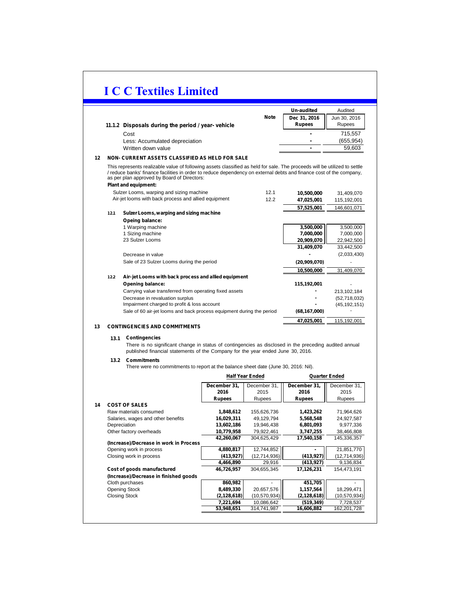|    |                                                   |             | Un-audited    | Audited      |
|----|---------------------------------------------------|-------------|---------------|--------------|
|    |                                                   | <b>Note</b> | Dec 31, 2016  | Jun 30, 2016 |
|    | 11.1.2 Disposals during the period / year-vehicle |             | <b>Rupees</b> | Rupees       |
|    | Cost                                              |             |               | 715.557      |
|    | Less: Accumulated depreciation                    |             |               | (655.954)    |
|    | Written down value                                |             |               | 59.603       |
| 12 | NON- CURRENT ASSETS CLASSIFIED AS HELD FOR SALE   |             |               |              |

 / reduce banks' finance facilities in order to reduce dependency on external debts and finance cost of the company, as per plan approved by Board of Directors: This represents realizable value of following assets classified as held for sale. The proceeds will be utilized to settle

|        | <b>Plant and equipment:</b>                                           |      |                |                |
|--------|-----------------------------------------------------------------------|------|----------------|----------------|
|        | Sulzer Looms, warping and sizing machine                              | 12.1 | 10,500,000     | 31,409,070     |
|        | Air-jet looms with back process and allied equipment                  | 12.2 | 47,025,001     | 115,192,001    |
|        |                                                                       |      | 57,525,001     | 146,601,071    |
| 12.1   | Sulzer Looms, warping and sizing machine                              |      |                |                |
|        | Opeing balance:                                                       |      |                |                |
|        | 1 Warping machine                                                     |      | 3,500,000      | 3,500,000      |
|        | 1 Sizing machine                                                      |      | 7,000,000      | 7,000,000      |
|        | 23 Sulzer Looms                                                       |      | 20,909,070     | 22,942,500     |
|        |                                                                       |      | 31,409,070     | 33,442,500     |
|        | Decrease in value                                                     |      |                | (2,033,430)    |
|        | Sale of 23 Sulzer Looms during the period                             |      | (20,909,070)   |                |
|        |                                                                       |      | 10,500,000     | 31,409,070     |
| $12.2$ | Air- jet Looms with back process and allied equipment                 |      |                |                |
|        | Opening balance:                                                      |      | 115,192,001    |                |
|        | Carrying value transferred from operating fixed assets                |      |                | 213,102,184    |
|        | Decrease in revaluation surplus                                       |      |                | (52,718,032)   |
|        | Impairment charged to profit & loss account                           |      |                | (45, 192, 151) |
|        | Sale of 60 air-jet looms and back process equipment during the period |      | (68, 167, 000) |                |

#### **13 CONTINGENCIES AND COMMITMENTS**

#### **13.1 Contingencies**

There is no significant change in status of contingencies as disclosed in the preceding audited annual published financial statements of the Company for the year ended June 30, 2016.

115,192,001

**47,025,001**

#### **13.2 Commitments**

There were no commitments to report at the balance sheet date (June 30, 2016: Nil).

|    |                                        |               | <b>Half Year Ended</b> |               | <b>Quarter Ended</b> |
|----|----------------------------------------|---------------|------------------------|---------------|----------------------|
|    |                                        | December 31,  | December 31,           | December 31,  | December 31,         |
|    |                                        | 2016          | 2015                   | 2016          | 2015                 |
|    |                                        | Rupees        | Rupees                 | <b>Rupees</b> | Rupees               |
| 14 | <b>COST OF SALES</b>                   |               |                        |               |                      |
|    | Raw materials consumed                 | 1,848,612     | 155.626.736            | 1,423,262     | 71,964,626           |
|    | Salaries, wages and other benefits     | 16,029,311    | 49,129,794             | 5,568,548     | 24,927,587           |
|    | Depreciation                           | 13,602,186    | 19,946,438             | 6,801,093     | 9,977,336            |
|    | Other factory overheads                | 10,779,958    | 79,922,461             | 3,747,255     | 38,466,808           |
|    |                                        | 42,260,067    | 304,625,429            | 17,540,158    | 145,336,357          |
|    | (Increase)/Decrease in work in Process |               |                        |               |                      |
|    | Opening work in process                | 4,880,817     | 12,744,852             |               | 21,851,770           |
|    | Closing work in process                | (413, 927)    | (12,714,936)           | (413, 927)    | (12,714,936)         |
|    |                                        | 4,466,890     | 29,916                 | (413, 927)    | 9,136,834            |
|    | Cost of goods manufactured             | 46,726,957    | 304,655,345            | 17,126,231    | 154,473,191          |
|    | (Increase)/Decrease in finished goods  |               |                        |               |                      |
|    | Cloth purchases                        | 860,982       |                        | 451,705       |                      |
|    | <b>Opening Stock</b>                   | 8,489,330     | 20,657,576             | 1,157,564     | 18,299,471           |
|    | <b>Closing Stock</b>                   | (2, 128, 618) | (10, 570, 934)         | (2, 128, 618) | (10, 570, 934)       |
|    |                                        | 7,221,694     | 10,086,642             | (519, 349)    | 7,728,537            |
|    |                                        | 53,948,651    | 314,741,987            | 16,606,882    | 162,201,728          |
|    |                                        |               |                        |               |                      |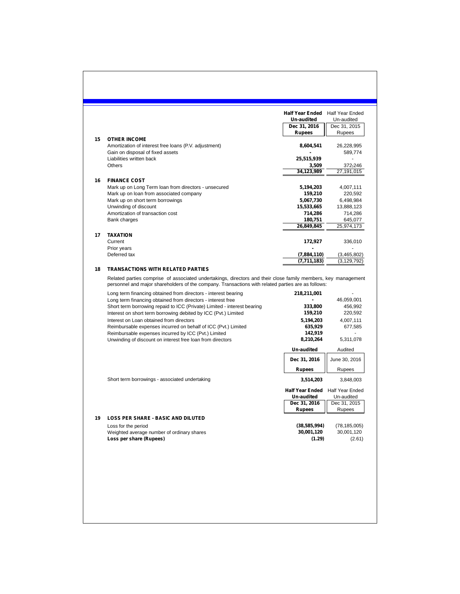| 15 |                                                                                                                                                                                                                                                                 | Half Year Ended Half Year Ended      |                                                   |
|----|-----------------------------------------------------------------------------------------------------------------------------------------------------------------------------------------------------------------------------------------------------------------|--------------------------------------|---------------------------------------------------|
|    |                                                                                                                                                                                                                                                                 |                                      |                                                   |
|    |                                                                                                                                                                                                                                                                 | Un-audited                           | Un-audited                                        |
|    |                                                                                                                                                                                                                                                                 | Dec 31, 2016<br>Rupees               | Dec 31, 2015<br>Rupees                            |
|    | <b>OTHER INCOME</b><br>Amortization of interest free loans (P.V. adjustment)                                                                                                                                                                                    |                                      |                                                   |
|    | Gain on disposal of fixed assets                                                                                                                                                                                                                                | 8,604,541                            | 26,228,995<br>589,774                             |
|    | Liabilities written back<br><b>Others</b>                                                                                                                                                                                                                       | 25,515,939<br>3,509                  | 372,246                                           |
|    |                                                                                                                                                                                                                                                                 | 34,123,989                           | 27,191,015                                        |
| 16 | <b>FINANCE COST</b>                                                                                                                                                                                                                                             |                                      |                                                   |
|    | Mark up on Long Term loan from directors - unsecured<br>Mark up on loan from associated company                                                                                                                                                                 | 5,194,203<br>159,210                 | 4,007,111<br>220,592                              |
|    | Mark up on short term borrowings                                                                                                                                                                                                                                | 5,067,730                            | 6,498,984                                         |
|    | Unwinding of discount                                                                                                                                                                                                                                           | 15,533,665                           | 13,888,123                                        |
|    | Amortization of transaction cost                                                                                                                                                                                                                                | 714,286                              | 714,286                                           |
|    | Bank charges                                                                                                                                                                                                                                                    | 180,751                              | 645,077                                           |
|    |                                                                                                                                                                                                                                                                 | 26,849,845                           | 25.974.173                                        |
| 17 | <b>TAXATION</b><br>Current<br>Prior years                                                                                                                                                                                                                       | 172,927                              | 336,010                                           |
|    | Deferred tax                                                                                                                                                                                                                                                    | (7,884,110)                          | (3,465,802)                                       |
|    |                                                                                                                                                                                                                                                                 | (7, 711, 183)                        | (3, 129, 792)                                     |
| 18 | <b>TRANSACTIONS WITH RELATED PARTIES</b><br>Related parties comprise of associated undertakings, directors and their close family members, key management<br>personnel and major shareholders of the company. Transactions with related parties are as follows: |                                      |                                                   |
|    |                                                                                                                                                                                                                                                                 |                                      |                                                   |
|    | Long term financing obtained from directors - interest bearing                                                                                                                                                                                                  | 218,211,001                          |                                                   |
|    | Long term financing obtained from directors - interest free                                                                                                                                                                                                     |                                      | 46,059,001                                        |
|    | Short term borrowing repaid to ICC (Private) Limited - interest bearing                                                                                                                                                                                         | 333,800<br>159,210                   | 456,992<br>220,592                                |
|    | Interest on short term borrowing debited by ICC (Pvt.) Limited<br>Interest on Loan obtained from directors                                                                                                                                                      | 5,194,203                            | 4,007,111                                         |
|    | Reimbursable expenses incurred on behalf of ICC (Pvt.) Limited                                                                                                                                                                                                  | 635,929                              |                                                   |
|    | Reimbursable expenses incurred by ICC (Pvt.) Limited                                                                                                                                                                                                            | 142,919                              |                                                   |
|    | Unwinding of discount on interest free loan from directors                                                                                                                                                                                                      | 8,210,264                            |                                                   |
|    |                                                                                                                                                                                                                                                                 | Un-audited<br>Dec 31, 2016           | 677,585<br>5,311,078<br>Audited<br>June 30, 2016  |
|    |                                                                                                                                                                                                                                                                 | <b>Rupees</b>                        | Rupees                                            |
|    | Short term borrowings - associated undertaking                                                                                                                                                                                                                  | 3,514,203                            |                                                   |
|    |                                                                                                                                                                                                                                                                 | <b>Half Year Ended</b><br>Un-audited | 3,848,003<br><b>Half Year Ended</b><br>Un-audited |
|    |                                                                                                                                                                                                                                                                 | Dec 31, 2016                         | Dec 31, 2015                                      |
|    |                                                                                                                                                                                                                                                                 | <b>Rupees</b>                        | Rupees                                            |
| 19 | <b>LOSS PER SHARE - BASIC AND DILUTED</b>                                                                                                                                                                                                                       |                                      |                                                   |
|    | Loss for the period<br>Weighted average number of ordinary shares                                                                                                                                                                                               | (38, 585, 994)<br>30,001,120         | (78, 185, 005)<br>30,001,120                      |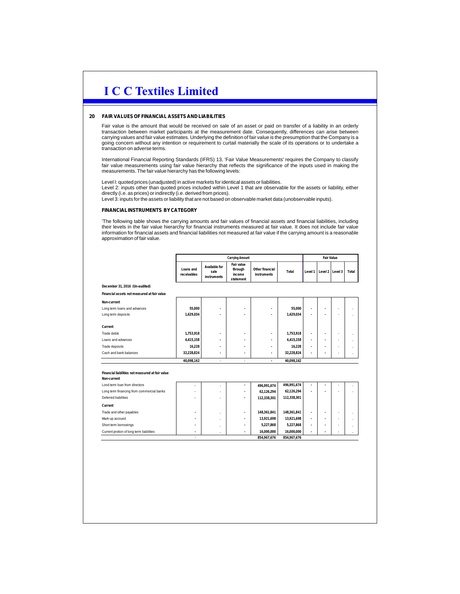#### **20 FAIRVALUESOFFINANCIAL ASSETSANDLIABILITIES**

Fair value is the amount that would be received on sale of an asset or paid on transfer of a liability in an orderly transaction between market participants at the measurement date. Consequently, differences can arise between<br>carrying values and fair value estimates. Underlying the definition of fair value is the presumption that the Com going concern without any intention or requirement to curtail materially the scale of its operations or to undertake a transaction on adverse terms.

International Financial Reporting Standards (IFRS) 13, 'Fair Value Measurements' requires the Company to classify<br>fair value measurements using fair value hierarchy that reflects the significance of the inputs used in maki

Level I: quoted prices (unadjusted) in active markets for identical assets or liabilities. Level 2: inputs other than quoted prices included within Level 1 that are observable for the assets or liability, either directly (i.e. as prices) or indirectly (i.e. derived from prices).

Level 3: inputs for the assets or liability that are not based on observable market data (unobservable inputs).

#### **FINANCIALINSTRUMENTS BY CATEGORY**

'The following table shows the carrying amounts and fair values of financial assets and financial liabilities, including their levels in the fair value hierarchy for financial instruments measured at fair value. It does not include fair value information for financial assets and financial liabilities not measured at fair value if the carrying amount is a reasonable approximation of fair value.

|                                                                 | <b>Carrying Amount</b>   |                                      |                                                     |                                | <b>Fair Value</b> |                |                          |                |       |
|-----------------------------------------------------------------|--------------------------|--------------------------------------|-----------------------------------------------------|--------------------------------|-------------------|----------------|--------------------------|----------------|-------|
|                                                                 | Loans and<br>receivables | Available for<br>sale<br>instruments | <b>Fair value</b><br>through<br>income<br>statement | Other financial<br>instruments | Total             | Level 1        | Level 2                  | Level 3        | Total |
| December 31, 2016 (Un-audited)                                  |                          |                                      |                                                     |                                |                   |                |                          |                |       |
| Financial assets not measured at fair value                     |                          |                                      |                                                     |                                |                   |                |                          |                |       |
| Non-current                                                     |                          |                                      |                                                     |                                |                   |                |                          |                |       |
| Long term loans and advances                                    | 55,000                   |                                      | ٠                                                   |                                | 55,000            |                |                          |                |       |
| Long term deposits                                              | 1,629,034                |                                      |                                                     |                                | 1,629,034         |                |                          |                |       |
| Current                                                         |                          |                                      |                                                     |                                |                   |                |                          |                |       |
| Trade debts                                                     | 1,753,918                | ٠                                    | ٠                                                   |                                | 1,753,918         | ٠              |                          |                |       |
| Loans and advances                                              | 4,415,158                |                                      |                                                     |                                | 4,415,158         | $\overline{a}$ | ٠                        |                |       |
| Trade deposits                                                  | 16.228                   | ٠                                    | ٠                                                   |                                | 16.228            | ٠              | ٠                        |                |       |
| Cash and bank balances                                          | 32,228,824               | ٠                                    | ٠                                                   |                                | 32,228,824        | ٠              | $\overline{\phantom{a}}$ |                |       |
|                                                                 | 40.098.162               | ٠                                    | $\overline{a}$                                      | $\blacksquare$                 | 40.098.162        |                |                          |                |       |
| Financial liabilities not measured at fair value<br>Non-current |                          |                                      |                                                     |                                |                   |                |                          |                |       |
| Lond term loan from directors                                   |                          |                                      |                                                     | 496,991,674                    | 496,991,674       | ٠              |                          |                |       |
| Long term financing from commercial banks                       |                          |                                      |                                                     | 62,126,294                     | 62,126,294        | ٠              |                          |                |       |
| Deferred liabilities                                            |                          | $\overline{a}$                       | ٠                                                   | 112,338,301                    | 112,338,301       |                |                          |                |       |
| Current                                                         |                          |                                      |                                                     |                                |                   |                |                          |                |       |
| Trade and other payables                                        |                          |                                      |                                                     | 148,361,841                    | 148,361,841       | ٠              | ٠                        |                |       |
| Mark-up accrued                                                 |                          |                                      | ٠                                                   | 13,921,698                     | 13,921,698        | ٠              | ٠                        | $\overline{a}$ |       |
| Short term borrowings                                           |                          |                                      |                                                     | 5,227,868                      | 5,227,868         | ۰              | ٠                        | ٠              |       |
| Current protion of long term liabilities                        |                          | $\overline{a}$                       | ٠                                                   | 16,000,000                     | 16,000,000        | ٠              |                          |                |       |
|                                                                 |                          |                                      |                                                     | 854,967,676                    | 854,967,676       |                |                          |                |       |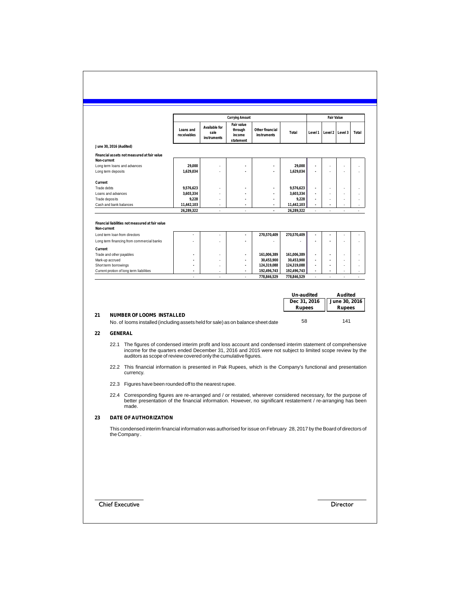| June 30, 2016 (Audited)<br>Financial assets not measured at fair value<br>Long term loans and advances<br>Cash and bank balances<br>Financial liabilities not measured at fair value<br>Lond term loan from directors<br>Long term financing from commercial banks | Loans and<br>receivables<br>29,000<br>1,629,034<br>9,576,623<br>3,603,334<br>9,228<br>11,442,103<br>26,289,322 | <b>Available for</b><br>sale<br>instruments               | Fair value<br>through<br>income<br>statement<br>ä,<br>٠<br>ä | Other financial<br>instruments<br>٠<br>ä,<br>٠<br>$\overline{\phantom{a}}$ | Total<br>29,000<br>1,629,034<br>9,576,623<br>3,603,334                                                                                               | Level 1<br>٠<br>Ĭ. | Level 2<br>J.                                     | Level 3 | Total                                                                                                                                                                                                                                                                                                                                                                                                                                                                                                                                                                                                                                                                                                                                                      |
|--------------------------------------------------------------------------------------------------------------------------------------------------------------------------------------------------------------------------------------------------------------------|----------------------------------------------------------------------------------------------------------------|-----------------------------------------------------------|--------------------------------------------------------------|----------------------------------------------------------------------------|------------------------------------------------------------------------------------------------------------------------------------------------------|--------------------|---------------------------------------------------|---------|------------------------------------------------------------------------------------------------------------------------------------------------------------------------------------------------------------------------------------------------------------------------------------------------------------------------------------------------------------------------------------------------------------------------------------------------------------------------------------------------------------------------------------------------------------------------------------------------------------------------------------------------------------------------------------------------------------------------------------------------------------|
|                                                                                                                                                                                                                                                                    |                                                                                                                |                                                           |                                                              |                                                                            |                                                                                                                                                      |                    |                                                   |         |                                                                                                                                                                                                                                                                                                                                                                                                                                                                                                                                                                                                                                                                                                                                                            |
|                                                                                                                                                                                                                                                                    |                                                                                                                |                                                           |                                                              |                                                                            |                                                                                                                                                      |                    |                                                   |         |                                                                                                                                                                                                                                                                                                                                                                                                                                                                                                                                                                                                                                                                                                                                                            |
|                                                                                                                                                                                                                                                                    |                                                                                                                |                                                           |                                                              |                                                                            |                                                                                                                                                      |                    |                                                   |         |                                                                                                                                                                                                                                                                                                                                                                                                                                                                                                                                                                                                                                                                                                                                                            |
|                                                                                                                                                                                                                                                                    |                                                                                                                |                                                           |                                                              |                                                                            |                                                                                                                                                      |                    |                                                   |         |                                                                                                                                                                                                                                                                                                                                                                                                                                                                                                                                                                                                                                                                                                                                                            |
|                                                                                                                                                                                                                                                                    |                                                                                                                |                                                           |                                                              |                                                                            |                                                                                                                                                      |                    |                                                   |         |                                                                                                                                                                                                                                                                                                                                                                                                                                                                                                                                                                                                                                                                                                                                                            |
|                                                                                                                                                                                                                                                                    |                                                                                                                |                                                           |                                                              |                                                                            |                                                                                                                                                      |                    |                                                   |         |                                                                                                                                                                                                                                                                                                                                                                                                                                                                                                                                                                                                                                                                                                                                                            |
|                                                                                                                                                                                                                                                                    |                                                                                                                |                                                           |                                                              |                                                                            |                                                                                                                                                      |                    |                                                   |         |                                                                                                                                                                                                                                                                                                                                                                                                                                                                                                                                                                                                                                                                                                                                                            |
|                                                                                                                                                                                                                                                                    |                                                                                                                |                                                           |                                                              |                                                                            |                                                                                                                                                      |                    |                                                   |         |                                                                                                                                                                                                                                                                                                                                                                                                                                                                                                                                                                                                                                                                                                                                                            |
|                                                                                                                                                                                                                                                                    |                                                                                                                |                                                           |                                                              |                                                                            | 9,228<br>11,442,103                                                                                                                                  | ä,<br>Ĭ.           | J.<br>Ĭ.                                          |         |                                                                                                                                                                                                                                                                                                                                                                                                                                                                                                                                                                                                                                                                                                                                                            |
|                                                                                                                                                                                                                                                                    |                                                                                                                |                                                           |                                                              |                                                                            | 26,289,322                                                                                                                                           |                    |                                                   | Ĭ.      |                                                                                                                                                                                                                                                                                                                                                                                                                                                                                                                                                                                                                                                                                                                                                            |
|                                                                                                                                                                                                                                                                    |                                                                                                                |                                                           |                                                              |                                                                            |                                                                                                                                                      |                    |                                                   |         |                                                                                                                                                                                                                                                                                                                                                                                                                                                                                                                                                                                                                                                                                                                                                            |
|                                                                                                                                                                                                                                                                    |                                                                                                                |                                                           |                                                              |                                                                            |                                                                                                                                                      |                    |                                                   |         |                                                                                                                                                                                                                                                                                                                                                                                                                                                                                                                                                                                                                                                                                                                                                            |
|                                                                                                                                                                                                                                                                    |                                                                                                                |                                                           |                                                              | 270,570,409                                                                | 270,570,409                                                                                                                                          |                    |                                                   |         |                                                                                                                                                                                                                                                                                                                                                                                                                                                                                                                                                                                                                                                                                                                                                            |
|                                                                                                                                                                                                                                                                    |                                                                                                                |                                                           |                                                              | $\overline{a}$                                                             |                                                                                                                                                      | ä,                 |                                                   |         |                                                                                                                                                                                                                                                                                                                                                                                                                                                                                                                                                                                                                                                                                                                                                            |
|                                                                                                                                                                                                                                                                    |                                                                                                                |                                                           |                                                              |                                                                            |                                                                                                                                                      |                    |                                                   |         |                                                                                                                                                                                                                                                                                                                                                                                                                                                                                                                                                                                                                                                                                                                                                            |
| Trade and other payables                                                                                                                                                                                                                                           |                                                                                                                |                                                           | $\ddot{\phantom{0}}$                                         | 161,006,389                                                                | 161,006,389                                                                                                                                          | ä,                 | ä,                                                |         |                                                                                                                                                                                                                                                                                                                                                                                                                                                                                                                                                                                                                                                                                                                                                            |
| Short term borrowings                                                                                                                                                                                                                                              |                                                                                                                |                                                           | ÷,<br>Ĭ.                                                     | 30,453,900<br>124,319,088                                                  | 30,453,900<br>124,319,088                                                                                                                            | í,<br>Ĭ.           | ä,<br>ä,                                          |         |                                                                                                                                                                                                                                                                                                                                                                                                                                                                                                                                                                                                                                                                                                                                                            |
| Current protion of long term liabilities                                                                                                                                                                                                                           |                                                                                                                |                                                           |                                                              | 192.496.743                                                                | 192.496.743                                                                                                                                          | í,                 |                                                   |         |                                                                                                                                                                                                                                                                                                                                                                                                                                                                                                                                                                                                                                                                                                                                                            |
|                                                                                                                                                                                                                                                                    | ÷,                                                                                                             | ÷,                                                        | ÷,                                                           | 778,846,529                                                                | 778.846.529                                                                                                                                          | ÷.                 | ÷,                                                | ÷,      | ÷.                                                                                                                                                                                                                                                                                                                                                                                                                                                                                                                                                                                                                                                                                                                                                         |
|                                                                                                                                                                                                                                                                    |                                                                                                                |                                                           |                                                              |                                                                            |                                                                                                                                                      |                    |                                                   |         |                                                                                                                                                                                                                                                                                                                                                                                                                                                                                                                                                                                                                                                                                                                                                            |
|                                                                                                                                                                                                                                                                    |                                                                                                                |                                                           |                                                              |                                                                            |                                                                                                                                                      |                    |                                                   | 141     |                                                                                                                                                                                                                                                                                                                                                                                                                                                                                                                                                                                                                                                                                                                                                            |
|                                                                                                                                                                                                                                                                    |                                                                                                                |                                                           |                                                              |                                                                            |                                                                                                                                                      |                    |                                                   |         |                                                                                                                                                                                                                                                                                                                                                                                                                                                                                                                                                                                                                                                                                                                                                            |
|                                                                                                                                                                                                                                                                    |                                                                                                                |                                                           |                                                              |                                                                            |                                                                                                                                                      |                    |                                                   |         |                                                                                                                                                                                                                                                                                                                                                                                                                                                                                                                                                                                                                                                                                                                                                            |
|                                                                                                                                                                                                                                                                    |                                                                                                                |                                                           |                                                              |                                                                            |                                                                                                                                                      |                    |                                                   |         |                                                                                                                                                                                                                                                                                                                                                                                                                                                                                                                                                                                                                                                                                                                                                            |
|                                                                                                                                                                                                                                                                    |                                                                                                                |                                                           |                                                              |                                                                            |                                                                                                                                                      |                    |                                                   |         |                                                                                                                                                                                                                                                                                                                                                                                                                                                                                                                                                                                                                                                                                                                                                            |
|                                                                                                                                                                                                                                                                    |                                                                                                                |                                                           |                                                              |                                                                            |                                                                                                                                                      |                    |                                                   |         |                                                                                                                                                                                                                                                                                                                                                                                                                                                                                                                                                                                                                                                                                                                                                            |
|                                                                                                                                                                                                                                                                    |                                                                                                                |                                                           |                                                              |                                                                            |                                                                                                                                                      |                    |                                                   |         |                                                                                                                                                                                                                                                                                                                                                                                                                                                                                                                                                                                                                                                                                                                                                            |
|                                                                                                                                                                                                                                                                    |                                                                                                                |                                                           |                                                              |                                                                            |                                                                                                                                                      |                    |                                                   |         |                                                                                                                                                                                                                                                                                                                                                                                                                                                                                                                                                                                                                                                                                                                                                            |
|                                                                                                                                                                                                                                                                    | <b>GENERAL</b><br>currency.<br>made.<br>the Company.                                                           | <b>NUMBER OF LOOMS INSTALLED</b><br>DATE OF AUTHORIZATION |                                                              | 22.3 Figures have been rounded off to the nearest rupee.                   | No. of looms installed (including assets held for sale) as on balance sheet date<br>auditors as scope of review covered only the cumulative figures. |                    | Un-audited<br>Dec 31, 2016<br><b>Rupees</b><br>58 |         | <b>Audited</b><br>June 30, 2016<br><b>Rupees</b><br>The figures of condensed interim profit and loss account and condensed interim statement of comprehensive<br>income for the quarters ended December 31, 2016 and 2015 were not subject to limited scope review by the<br>22.2 This financial information is presented in Pak Rupees, which is the Company's functional and presentation<br>22.4 Corresponding figures are re-arranged and / or restated, wherever considered necessary, for the purpose of<br>better presentation of the financial information. However, no significant restatement / re-arranging has been<br>This condensed interim financial information was authorised for issue on February 28, 2017 by the Board of directors of |